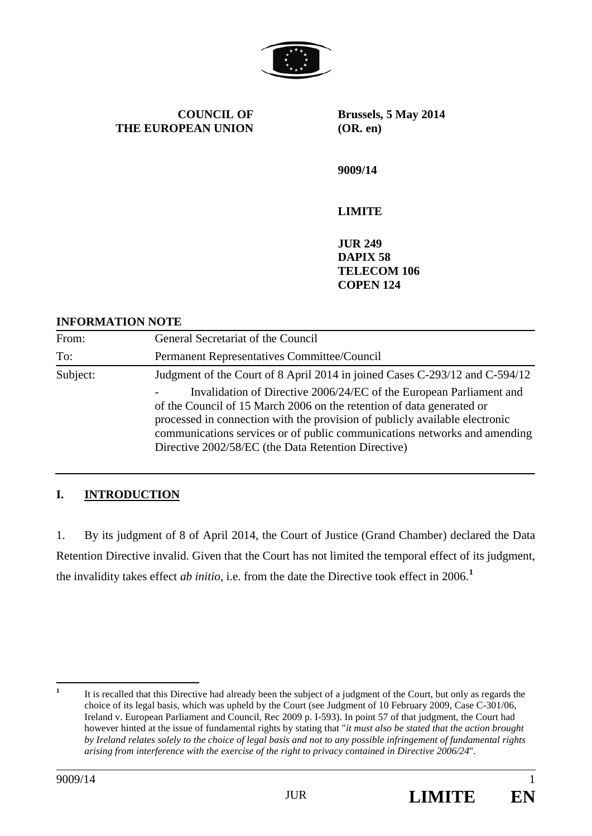

**COUNCIL OF THE EUROPEAN UNION** **Brussels, 5 May 2014 (OR. en)**

**9009/14**

# **LIMITE**

**JUR 249 DAPIX 58 TELECOM 106 COPEN 124**

### **INFORMATION NOTE**

| From:    | General Secretariat of the Council                                                                                                                                                                                                                                                                                                                              |
|----------|-----------------------------------------------------------------------------------------------------------------------------------------------------------------------------------------------------------------------------------------------------------------------------------------------------------------------------------------------------------------|
| To:      | Permanent Representatives Committee/Council                                                                                                                                                                                                                                                                                                                     |
| Subject: | Judgment of the Court of 8 April 2014 in joined Cases C-293/12 and C-594/12                                                                                                                                                                                                                                                                                     |
|          | Invalidation of Directive 2006/24/EC of the European Parliament and<br>of the Council of 15 March 2006 on the retention of data generated or<br>processed in connection with the provision of publicly available electronic<br>communications services or of public communications networks and amending<br>Directive 2002/58/EC (the Data Retention Directive) |

## **I. INTRODUCTION**

1. By its judgment of 8 of April 2014, the Court of Justice (Grand Chamber) declared the Data Retention Directive invalid. Given that the Court has not limited the temporal effect of its judgment, the invalidity takes effect *ab initio*, i.e. from the date the Directive took effect in 2006.**[1](#page-0-0)**



<span id="page-0-0"></span><sup>&</sup>lt;sup>1</sup> It is recalled that this Directive had already been the subject of a judgment of the Court, but only as regards the choice of its legal basis, which was upheld by the Court (see Judgment of 10 February 2009, Case C-301/06, Ireland v. European Parliament and Council, Rec 2009 p. I-593). In point 57 of that judgment, the Court had however hinted at the issue of fundamental rights by stating that "*it must also be stated that the action brought by Ireland relates solely to the choice of legal basis and not to any possible infringement of fundamental rights arising from interference with the exercise of the right to privacy contained in Directive 2006/24*".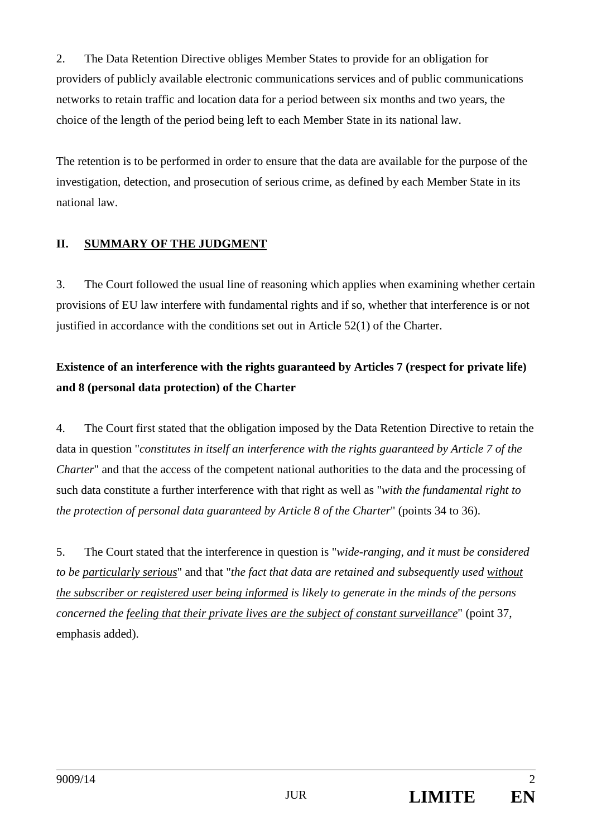2. The Data Retention Directive obliges Member States to provide for an obligation for providers of publicly available electronic communications services and of public communications networks to retain traffic and location data for a period between six months and two years, the choice of the length of the period being left to each Member State in its national law.

The retention is to be performed in order to ensure that the data are available for the purpose of the investigation, detection, and prosecution of serious crime, as defined by each Member State in its national law.

# **II. SUMMARY OF THE JUDGMENT**

3. The Court followed the usual line of reasoning which applies when examining whether certain provisions of EU law interfere with fundamental rights and if so, whether that interference is or not justified in accordance with the conditions set out in Article 52(1) of the Charter.

# **Existence of an interference with the rights guaranteed by Articles 7 (respect for private life) and 8 (personal data protection) of the Charter**

4. The Court first stated that the obligation imposed by the Data Retention Directive to retain the data in question "*constitutes in itself an interference with the rights guaranteed by Article 7 of the Charter*" and that the access of the competent national authorities to the data and the processing of such data constitute a further interference with that right as well as "*with the fundamental right to the protection of personal data guaranteed by Article 8 of the Charter*" (points 34 to 36).

5. The Court stated that the interference in question is "*wide-ranging, and it must be considered to be particularly serious*" and that "*the fact that data are retained and subsequently used without the subscriber or registered user being informed is likely to generate in the minds of the persons concerned the feeling that their private lives are the subject of constant surveillance*" (point 37, emphasis added).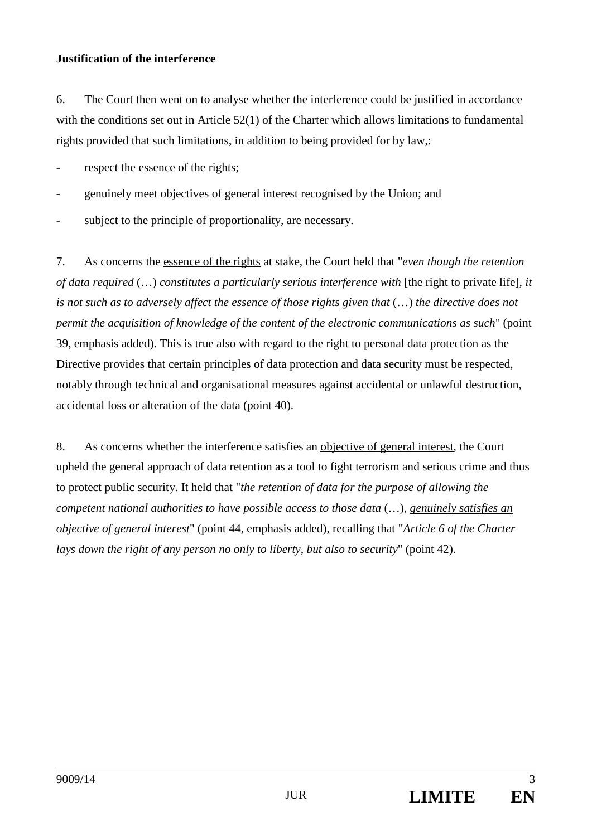### **Justification of the interference**

6. The Court then went on to analyse whether the interference could be justified in accordance with the conditions set out in Article 52(1) of the Charter which allows limitations to fundamental rights provided that such limitations, in addition to being provided for by law,:

respect the essence of the rights;

- genuinely meet objectives of general interest recognised by the Union; and
- subject to the principle of proportionality, are necessary.

7. As concerns the essence of the rights at stake, the Court held that "*even though the retention of data required* (...) *constitutes a particularly serious interference with* [the right to private life], *it is not such as to adversely affect the essence of those rights given that* (…) *the directive does not permit the acquisition of knowledge of the content of the electronic communications as such*" (point 39, emphasis added). This is true also with regard to the right to personal data protection as the Directive provides that certain principles of data protection and data security must be respected, notably through technical and organisational measures against accidental or unlawful destruction, accidental loss or alteration of the data (point 40).

8. As concerns whether the interference satisfies an objective of general interest, the Court upheld the general approach of data retention as a tool to fight terrorism and serious crime and thus to protect public security. It held that "*the retention of data for the purpose of allowing the competent national authorities to have possible access to those data* (…)*, genuinely satisfies an objective of general interest*" (point 44, emphasis added), recalling that "*Article 6 of the Charter lays down the right of any person no only to liberty, but also to security*" (point 42).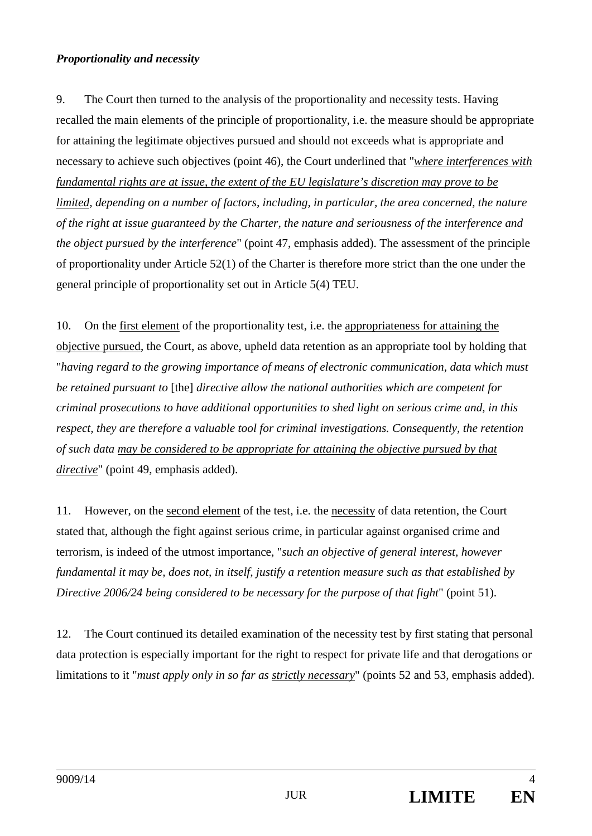### *Proportionality and necessity*

9. The Court then turned to the analysis of the proportionality and necessity tests. Having recalled the main elements of the principle of proportionality, i.e. the measure should be appropriate for attaining the legitimate objectives pursued and should not exceeds what is appropriate and necessary to achieve such objectives (point 46), the Court underlined that "*where interferences with fundamental rights are at issue, the extent of the EU legislature's discretion may prove to be limited, depending on a number of factors, including, in particular, the area concerned, the nature of the right at issue guaranteed by the Charter, the nature and seriousness of the interference and the object pursued by the interference*" (point 47, emphasis added). The assessment of the principle of proportionality under Article 52(1) of the Charter is therefore more strict than the one under the general principle of proportionality set out in Article 5(4) TEU.

10. On the first element of the proportionality test, i.e. the appropriateness for attaining the objective pursued, the Court, as above, upheld data retention as an appropriate tool by holding that "*having regard to the growing importance of means of electronic communication, data which must be retained pursuant to* [the] *directive allow the national authorities which are competent for criminal prosecutions to have additional opportunities to shed light on serious crime and, in this respect, they are therefore a valuable tool for criminal investigations. Consequently, the retention of such data may be considered to be appropriate for attaining the objective pursued by that directive*" (point 49, emphasis added).

11. However, on the second element of the test, i.e. the necessity of data retention, the Court stated that, although the fight against serious crime, in particular against organised crime and terrorism, is indeed of the utmost importance, "*such an objective of general interest, however fundamental it may be, does not, in itself, justify a retention measure such as that established by Directive 2006/24 being considered to be necessary for the purpose of that fight*" (point 51).

12. The Court continued its detailed examination of the necessity test by first stating that personal data protection is especially important for the right to respect for private life and that derogations or limitations to it "*must apply only in so far as strictly necessary*" (points 52 and 53, emphasis added).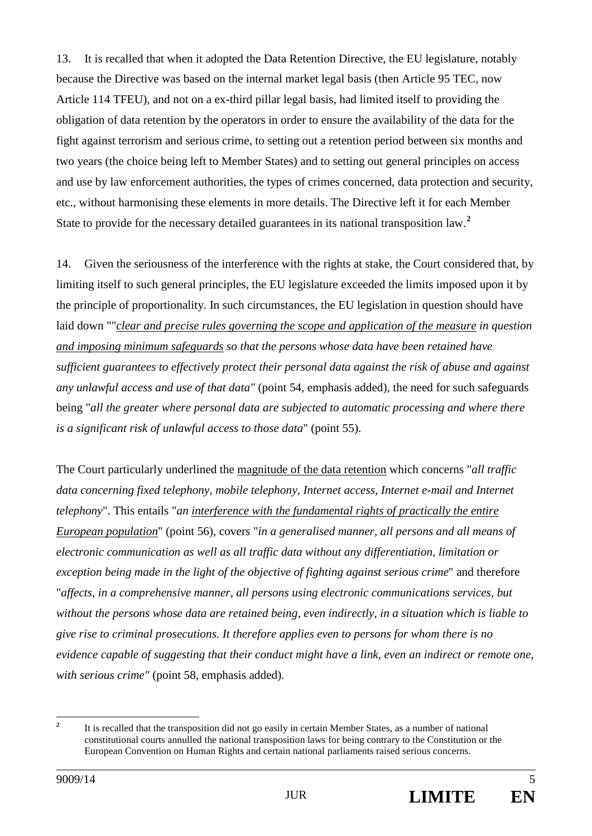13. It is recalled that when it adopted the Data Retention Directive, the EU legislature, notably because the Directive was based on the internal market legal basis (then Article 95 TEC, now Article 114 TFEU), and not on a ex-third pillar legal basis, had limited itself to providing the obligation of data retention by the operators in order to ensure the availability of the data for the fight against terrorism and serious crime, to setting out a retention period between six months and two years (the choice being left to Member States) and to setting out general principles on access and use by law enforcement authorities, the types of crimes concerned, data protection and security, etc., without harmonising these elements in more details. The Directive left it for each Member State to provide for the necessary detailed guarantees in its national transposition law.**[2](#page-4-0)**

14. Given the seriousness of the interference with the rights at stake, the Court considered that, by limiting itself to such general principles, the EU legislature exceeded the limits imposed upon it by the principle of proportionality. In such circumstances, the EU legislation in question should have laid down ""*clear and precise rules governing the scope and application of the measure in question and imposing minimum safeguards so that the persons whose data have been retained have sufficient guarantees to effectively protect their personal data against the risk of abuse and against any unlawful access and use of that data"* (point 54, emphasis added), the need for such safeguards being "*all the greater where personal data are subjected to automatic processing and where there is a significant risk of unlawful access to those data*" (point 55).

The Court particularly underlined the magnitude of the data retention which concerns "*all traffic data concerning fixed telephony, mobile telephony, Internet access, Internet e-mail and Internet telephony*". This entails "*an interference with the fundamental rights of practically the entire European population*" (point 56), covers "*in a generalised manner, all persons and all means of electronic communication as well as all traffic data without any differentiation, limitation or exception being made in the light of the objective of fighting against serious crime*" and therefore "*affects, in a comprehensive manner, all persons using electronic communications services, but without the persons whose data are retained being, even indirectly, in a situation which is liable to give rise to criminal prosecutions. It therefore applies even to persons for whom there is no evidence capable of suggesting that their conduct might have a link, even an indirect or remote one, with serious crime"* (point 58, emphasis added).

<span id="page-4-0"></span><sup>&</sup>lt;sup>2</sup> It is recalled that the transposition did not go easily in certain Member States, as a number of national constitutional courts annulled the national transposition laws for being contrary to the Constitution or the European Convention on Human Rights and certain national parliaments raised serious concerns.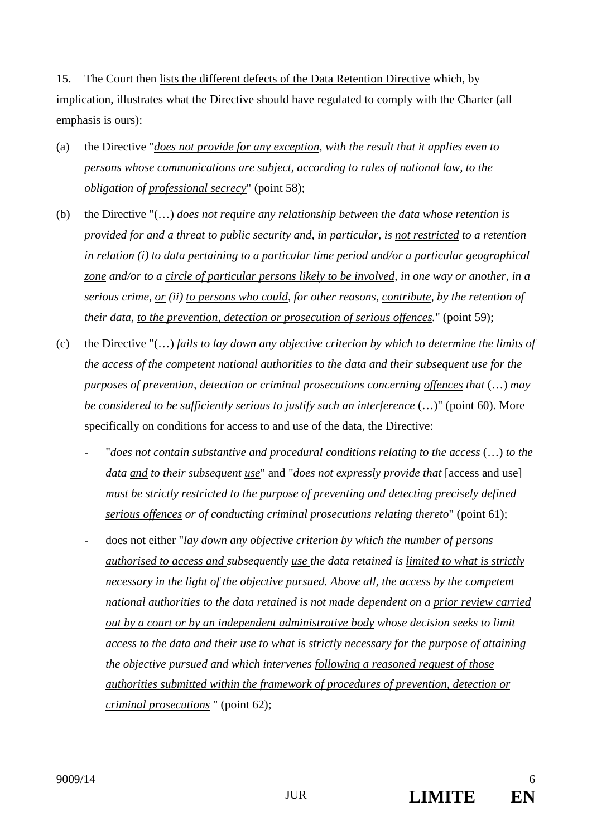15. The Court then lists the different defects of the Data Retention Directive which, by implication, illustrates what the Directive should have regulated to comply with the Charter (all emphasis is ours):

- (a) the Directive "*does not provide for any exception, with the result that it applies even to persons whose communications are subject, according to rules of national law, to the obligation of professional secrecy*" (point 58);
- (b) the Directive "(…) *does not require any relationship between the data whose retention is provided for and a threat to public security and, in particular, is not restricted to a retention in relation (i) to data pertaining to a particular time period and/or a particular geographical zone and/or to a circle of particular persons likely to be involved, in one way or another, in a serious crime, or (ii) to persons who could, for other reasons, contribute, by the retention of their data, to the prevention, detection or prosecution of serious offences.*" (point 59);
- (c) the Directive "(…) *fails to lay down any objective criterion by which to determine the limits of the access of the competent national authorities to the data and their subsequent use for the purposes of prevention, detection or criminal prosecutions concerning offences that* (…) *may be considered to be sufficiently serious to justify such an interference* (…)" (point 60). More specifically on conditions for access to and use of the data, the Directive:
	- "*does not contain substantive and procedural conditions relating to the access* (…) *to the data and to their subsequent use*" and "*does not expressly provide that* [access and use] *must be strictly restricted to the purpose of preventing and detecting precisely defined serious offences or of conducting criminal prosecutions relating thereto*" (point 61);
	- does not either "*lay down any objective criterion by which the number of persons authorised to access and subsequently use the data retained is limited to what is strictly necessary in the light of the objective pursued. Above all, the access by the competent national authorities to the data retained is not made dependent on a prior review carried out by a court or by an independent administrative body whose decision seeks to limit access to the data and their use to what is strictly necessary for the purpose of attaining the objective pursued and which intervenes following a reasoned request of those authorities submitted within the framework of procedures of prevention, detection or criminal prosecutions* " (point 62);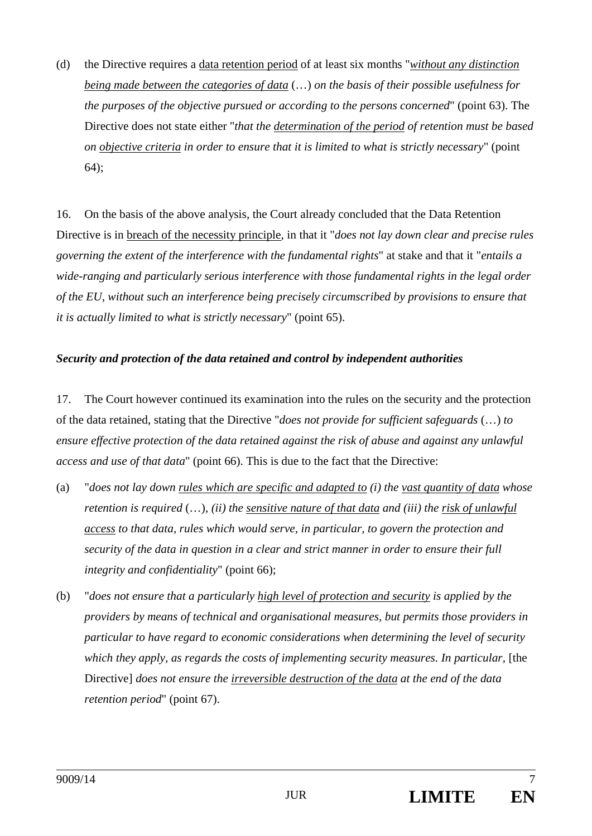(d) the Directive requires a data retention period of at least six months "*without any distinction being made between the categories of data* (…) *on the basis of their possible usefulness for the purposes of the objective pursued or according to the persons concerned*" (point 63). The Directive does not state either "*that the determination of the period of retention must be based on objective criteria in order to ensure that it is limited to what is strictly necessary*" (point 64);

16. On the basis of the above analysis, the Court already concluded that the Data Retention Directive is in breach of the necessity principle, in that it "*does not lay down clear and precise rules governing the extent of the interference with the fundamental rights*" at stake and that it "*entails a wide-ranging and particularly serious interference with those fundamental rights in the legal order of the EU, without such an interference being precisely circumscribed by provisions to ensure that it is actually limited to what is strictly necessary*" (point 65).

### *Security and protection of the data retained and control by independent authorities*

17. The Court however continued its examination into the rules on the security and the protection of the data retained, stating that the Directive "*does not provide for sufficient safeguards* (…) *to ensure effective protection of the data retained against the risk of abuse and against any unlawful access and use of that data*" (point 66). This is due to the fact that the Directive:

- (a) "*does not lay down rules which are specific and adapted to (i) the vast quantity of data whose retention is required* (…)*, (ii) the sensitive nature of that data and (iii) the risk of unlawful access to that data, rules which would serve, in particular, to govern the protection and security of the data in question in a clear and strict manner in order to ensure their full integrity and confidentiality*" (point 66);
- (b) "*does not ensure that a particularly high level of protection and security is applied by the providers by means of technical and organisational measures, but permits those providers in particular to have regard to economic considerations when determining the level of security which they apply, as regards the costs of implementing security measures. In particular,* [the Directive] *does not ensure the irreversible destruction of the data at the end of the data retention period*" (point 67).